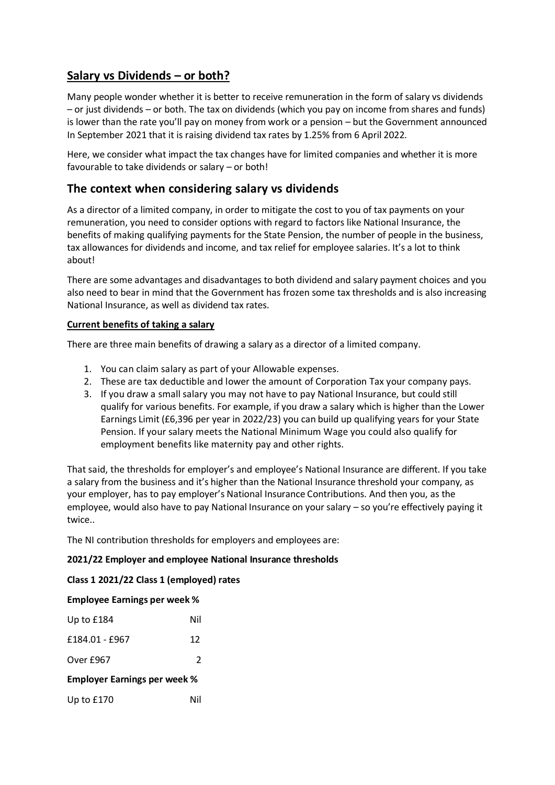# **Salary vs Dividends – or both?**

Many people wonder whether it is better to receive remuneration in the form of salary vs dividends – or just dividends – or both. The tax on dividends (which you pay on income from shares and funds) is lower than the rate you'll pay on money from work or a pension – but the Government announced In September 2021 that it is raising dividend tax rates by 1.25% from 6 April 2022.

Here, we consider what impact the tax changes have for limited companies and whether it is more favourable to take dividends or salary – or both!

# **The context when considering salary vs dividends**

As a director of a limited company, in order to mitigate the cost to you of tax payments on your remuneration, you need to consider options with regard to factors like National Insurance, the benefits of making qualifying payments for the State Pension, the number of people in the business, tax allowances for dividends and income, and tax relief for employee salaries. It's a lot to think about!

There are some advantages and disadvantages to both dividend and salary payment choices and you also need to bear in mind that the Government has frozen some tax thresholds and is also increasing National Insurance, as well as dividend tax rates.

# **Current benefits of taking a salary**

There are three main benefits of drawing a salary as a director of a limited company.

- 1. You can claim salary as part of your Allowable expenses.
- 2. These are tax deductible and lower the amount of Corporation Tax your company pays.
- 3. If you draw a small salary you may not have to pay National Insurance, but could still qualify for various benefits. For example, if you draw a salary which is higher than the Lower Earnings Limit (£6,396 per year in 2022/23) you can build up qualifying years for your State Pension. If your salary meets the National Minimum Wage you could also qualify for employment benefits like maternity pay and other rights.

That said, the thresholds for employer's and employee's National Insurance are different. If you take a salary from the business and it's higher than the National Insurance threshold your company, as your employer, has to pay employer's National Insurance Contributions. And then you, as the employee, would also have to pay National Insurance on your salary – so you're effectively paying it twice..

The NI contribution thresholds for employers and employees are:

#### **2021/22 Employer and employee National Insurance thresholds**

# **Class 1 2021/22 Class 1 (employed) rates**

#### **Employee Earnings per week %**

| Up to $£184$                        | Nil           |
|-------------------------------------|---------------|
| £184.01 - £967                      | 12            |
| Over £967                           | $\mathcal{P}$ |
| <b>Employer Earnings per week %</b> |               |
| Up to $£170$                        | Nil           |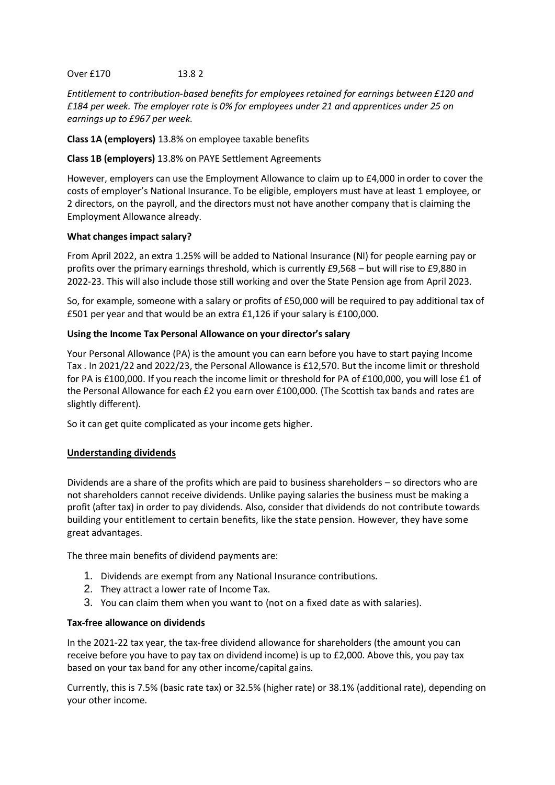# Over £170 13.8 2

*Entitlement to contribution-based benefits for employees retained for earnings between £120 and £184 per week. The employer rate is 0% for employees under 21 and apprentices under 25 on earnings up to £967 per week.* 

**Class 1A (employers)** 13.8% on employee taxable benefits

# **Class 1B (employers)** 13.8% on PAYE Settlement Agreements

However, employers can use the Employment Allowance to claim up to £4,000 in order to cover the costs of employer's National Insurance. To be eligible, employers must have at least 1 employee, or 2 directors, on the payroll, and the directors must not have another company that is claiming the Employment Allowance already.

# **What changes impact salary?**

From April 2022, an extra 1.25% will be added to National Insurance (NI) for people earning pay or profits over the primary earnings threshold, which is currently £9,568 – but will rise to £9,880 in 2022-23. This will also include those still working and over the State Pension age from April 2023.

So, for example, someone with a salary or profits of £50,000 will be required to pay additional tax of £501 per year and that would be an extra £1,126 if your salary is £100,000.

# **Using the Income Tax Personal Allowance on your director's salary**

Your Personal Allowance (PA) is the amount you can earn before you have to start paying Income Tax . In 2021/22 and 2022/23, the Personal Allowance is £12,570. But the income limit or threshold for PA is £100,000. If you reach the income limit or threshold for PA of £100,000, you will lose £1 of the Personal Allowance for each £2 you earn over £100,000. (The Scottish tax bands and rates are slightly different).

So it can get quite complicated as your income gets higher.

# **Understanding dividends**

Dividends are a share of the profits which are paid to business shareholders – so directors who are not shareholders cannot receive dividends. Unlike paying salaries the business must be making a profit (after tax) in order to pay dividends. Also, consider that dividends do not contribute towards building your entitlement to certain benefits, like the state pension. However, they have some great advantages.

The three main benefits of dividend payments are:

- 1. Dividends are exempt from any National Insurance contributions.
- 2. They attract a lower rate of Income Tax.
- 3. You can claim them when you want to (not on a fixed date as with salaries).

#### **Tax-free allowance on dividends**

In the 2021-22 tax year, the tax-free dividend allowance for shareholders (the amount you can receive before you have to pay tax on dividend income) is up to £2,000. Above this, you pay tax based on your tax band for any other income/capital gains.

Currently, this is 7.5% (basic rate tax) or 32.5% (higher rate) or 38.1% (additional rate), depending on your other income.